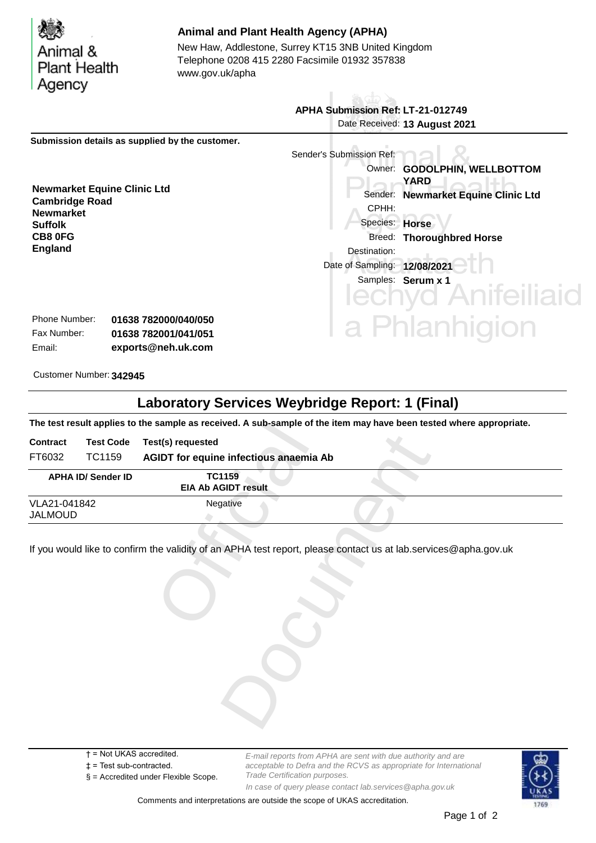| Animal &<br><b>Plant Health</b><br>Agency                                                                                                                                         |                                              | www.gov.uk/apha | <b>Animal and Plant Health Agency (APHA)</b><br>New Haw, Addlestone, Surrey KT15 3NB United Kingdom<br>Telephone 0208 415 2280 Facsimile 01932 357838 |                                                                                                                               |
|-----------------------------------------------------------------------------------------------------------------------------------------------------------------------------------|----------------------------------------------|-----------------|-------------------------------------------------------------------------------------------------------------------------------------------------------|-------------------------------------------------------------------------------------------------------------------------------|
|                                                                                                                                                                                   |                                              |                 | APHA Submission Ref: LT-21-012749                                                                                                                     |                                                                                                                               |
|                                                                                                                                                                                   |                                              |                 |                                                                                                                                                       | Date Received: 13 August 2021                                                                                                 |
| Submission details as supplied by the customer.<br><b>Newmarket Equine Clinic Ltd</b><br><b>Cambridge Road</b><br><b>Newmarket</b><br><b>Suffolk</b><br>CB8 0FG<br><b>England</b> |                                              |                 | Sender's Submission Ref:<br>Sender:<br>CPHH:<br>Species: Horse<br>Breed:<br>Destination:<br>Date of Sampling: 12/08/2021                              | Owner: GODOLPHIN, WELLBOTTOM<br>YARD<br><b>Newmarket Equine Clinic Ltd</b><br><b>Thoroughbred Horse</b><br>Samples: Serum x 1 |
| Phone Number:<br>Fax Number:                                                                                                                                                      | 01638 782000/040/050<br>01638 782001/041/051 |                 |                                                                                                                                                       | hlanhigion                                                                                                                    |

| Phone Number: | 01638 782000/040/050 |
|---------------|----------------------|
| Fax Number:   | 01638 782001/041/051 |
| Email:        | exports@neh.uk.com   |

Customer Number: **342945**

## **Laboratory Services Weybridge Report: 1 (Final)**

**The test result applies to the sample as received. A sub-sample of the item may have been tested where appropriate.**

| <b>Contract</b>                | <b>Test Code</b>          | Test(s) requested                           |  |
|--------------------------------|---------------------------|---------------------------------------------|--|
| FT6032                         | TC1159                    | AGIDT for equine infectious anaemia Ab      |  |
|                                | <b>APHA ID/ Sender ID</b> | <b>TC1159</b><br><b>EIA Ab AGIDT result</b> |  |
| VLA21-041842<br><b>JALMOUD</b> |                           | Negative                                    |  |
|                                |                           |                                             |  |
|                                |                           |                                             |  |
|                                |                           |                                             |  |
|                                |                           |                                             |  |

- † = Not UKAS accredited.
- ‡ = Test sub-contracted.
- § = Accredited under Flexible Scope.

*E-mail reports from APHA are sent with due authority and are acceptable to Defra and the RCVS as appropriate for International Trade Certification purposes. In case of query please contact lab.services@apha.gov.uk*

Comments and interpretations are outside the scope of UKAS accreditation.